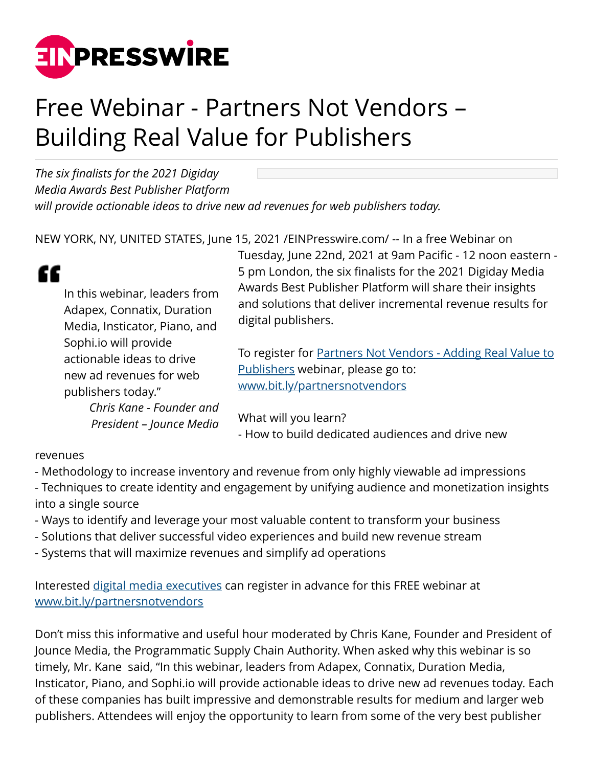

## Free Webinar - Partners Not Vendors – Building Real Value for Publishers

*The six finalists for the 2021 Digiday Media Awards Best Publisher Platform will provide actionable ideas to drive new ad revenues for web publishers today.*

NEW YORK, NY, UNITED STATES, June 15, 2021 [/EINPresswire.com/](http://www.einpresswire.com) -- In a free Webinar on

| £ |                               |
|---|-------------------------------|
|   | In this webinar, leaders from |
|   | Adapex, Connatix, Duration    |
|   | Media, Insticator, Piano, and |
|   | Sophi.io will provide         |
|   | actionable ideas to drive     |
|   | new ad revenues for web       |
|   | publishers today."            |
|   | Chris Kane - Founder and      |

*President – Jounce Media*

Tuesday, June 22nd, 2021 at 9am Pacific - 12 noon eastern - 5 pm London, the six finalists for the 2021 Digiday Media Awards Best Publisher Platform will share their insights and solutions that deliver incremental revenue results for digital publishers.

To register for [Partners Not Vendors - Adding Real Value to](https://www.bit.ly/partnersnotvendors) [Publishers](https://www.bit.ly/partnersnotvendors) webinar, please go to: [www.bit.ly/partnersnotvendors](http://www.bit.ly/partnersnotvendors)

What will you learn? - How to build dedicated audiences and drive new

## revenues

- Methodology to increase inventory and revenue from only highly viewable ad impressions
- Techniques to create identity and engagement by unifying audience and monetization insights into a single source
- Ways to identify and leverage your most valuable content to transform your business
- Solutions that deliver successful video experiences and build new revenue stream
- Systems that will maximize revenues and simplify ad operations

Interested [digital media executives](https://www.bit.ly/partnersnotvendors) can register in advance for this FREE webinar at [www.bit.ly/partnersnotvendors](http://www.bit.ly/partnersnotvendors)

Don't miss this informative and useful hour moderated by Chris Kane, Founder and President of Jounce Media, the Programmatic Supply Chain Authority. When asked why this webinar is so timely, Mr. Kane said, "In this webinar, leaders from Adapex, Connatix, Duration Media, Insticator, Piano, and Sophi.io will provide actionable ideas to drive new ad revenues today. Each of these companies has built impressive and demonstrable results for medium and larger web publishers. Attendees will enjoy the opportunity to learn from some of the very best publisher